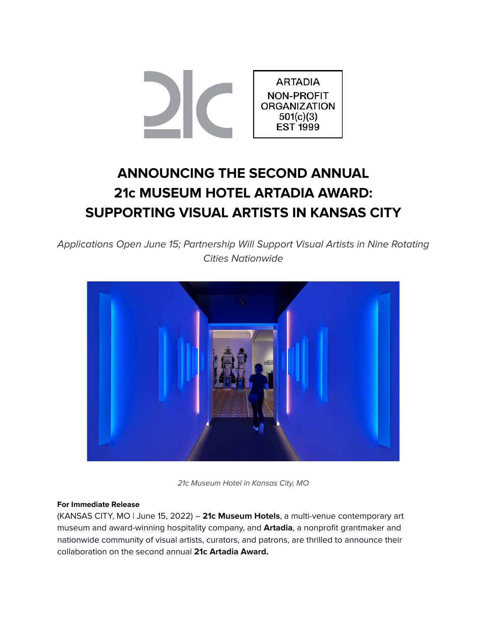

# **ANNOUNCING THE SECOND ANNUAL 21c MUSEUM HOTEL ARTADIA AWARD: SUPPORTING VISUAL ARTISTS IN KANSAS CITY**

Applications Open June 15; Partnership Will Support Visual Artists in Nine Rotating Cities Nationwide



21c Museum Hotel in Kansas City, MO

# **For Immediate Release**

(KANSAS CITY, MO | June 15, 2022) – **21c Museum Hotels**, a multi-venue contemporary art museum and award-winning hospitality company, and **Artadia**, a nonprofit grantmaker and nationwide community of visual artists, curators, and patrons, are thrilled to announce their collaboration on the second annual **21c Artadia Award.**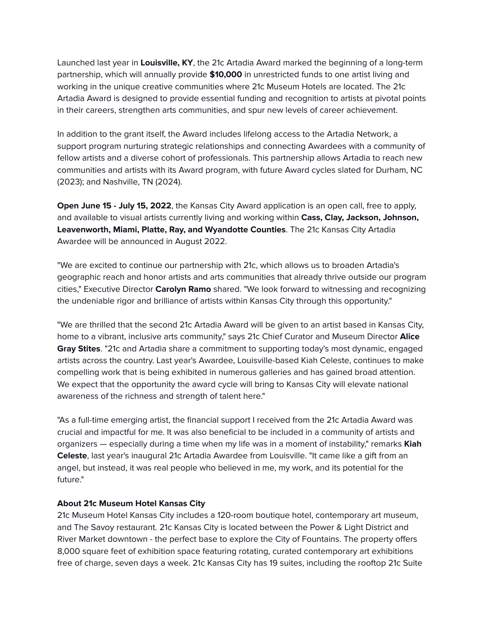Launched last year in **Louisville, KY**, the 21c Artadia Award marked the beginning of a long-term partnership, which will annually provide **\$10,000** in unrestricted funds to one artist living and working in the unique creative communities where 21c Museum Hotels are located. The 21c Artadia Award is designed to provide essential funding and recognition to artists at pivotal points in their careers, strengthen arts communities, and spur new levels of career achievement.

In addition to the grant itself, the Award includes lifelong access to the Artadia Network, a support program nurturing strategic relationships and connecting Awardees with a community of fellow artists and a diverse cohort of professionals. This partnership allows Artadia to reach new communities and artists with its Award program, with future Award cycles slated for Durham, NC (2023); and Nashville, TN (2024).

**Open June 15 - July 15, 2022**, the Kansas City Award application is an open call, free to apply, and available to visual artists currently living and working within **Cass, Clay, Jackson, Johnson, Leavenworth, Miami, Platte, Ray, and Wyandotte Counties**. The 21c Kansas City Artadia Awardee will be announced in August 2022.

"We are excited to continue our partnership with 21c, which allows us to broaden Artadia's geographic reach and honor artists and arts communities that already thrive outside our program cities," Executive Director **Carolyn Ramo** shared. "We look forward to witnessing and recognizing the undeniable rigor and brilliance of artists within Kansas City through this opportunity."

"We are thrilled that the second 21c Artadia Award will be given to an artist based in Kansas City, home to a vibrant, inclusive arts community," says 21c Chief Curator and Museum Director **Alice Gray Stites**. "21c and Artadia share a commitment to supporting today's most dynamic, engaged artists across the country. Last year's Awardee, Louisville-based Kiah Celeste, continues to make compelling work that is being exhibited in numerous galleries and has gained broad attention. We expect that the opportunity the award cycle will bring to Kansas City will elevate national awareness of the richness and strength of talent here."

"As a full-time emerging artist, the financial support I received from the 21c Artadia Award was crucial and impactful for me. It was also beneficial to be included in a community of artists and organizers — especially during a time when my life was in a moment of instability," remarks **Kiah Celeste**, last year's inaugural 21c Artadia Awardee from Louisville. "It came like a gift from an angel, but instead, it was real people who believed in me, my work, and its potential for the future."

# **About 21c Museum Hotel Kansas City**

21c Museum Hotel Kansas City includes a 120-room boutique hotel, contemporary art museum, and The Savoy restaurant. 21c Kansas City is located between the Power & Light District and River Market downtown - the perfect base to explore the City of Fountains. The property offers 8,000 square feet of exhibition space featuring rotating, curated contemporary art exhibitions free of charge, seven days a week. 21c Kansas City has 19 suites, including the rooftop 21c Suite